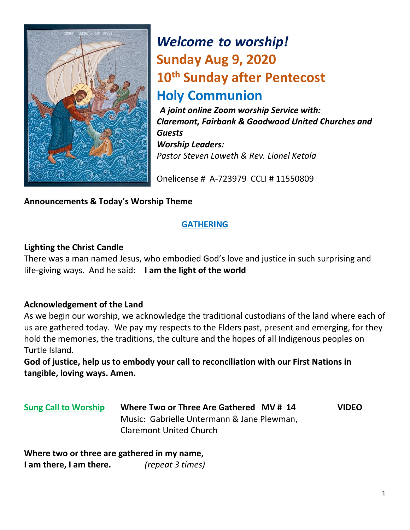

# *Welcome to worship!* **Sunday Aug 9, 2020 10th Sunday after Pentecost Holy Communion**

*A joint online Zoom worship Service with: Claremont, Fairbank & Goodwood United Churches and Guests Worship Leaders: Pastor Steven Loweth & Rev. Lionel Ketola*

Onelicense # A-723979 CCLI # 11550809

#### **Announcements & Today's Worship Theme**

#### **GATHERING**

#### **Lighting the Christ Candle**

There was a man named Jesus, who embodied God's love and justice in such surprising and life-giving ways. And he said: **I am the light of the world** 

#### **Acknowledgement of the Land**

As we begin our worship, we acknowledge the traditional custodians of the land where each of us are gathered today. We pay my respects to the Elders past, present and emerging, for they hold the memories, the traditions, the culture and the hopes of all Indigenous peoples on Turtle Island.

**God of justice, help us to embody your call to reconciliation with our First Nations in tangible, loving ways. Amen.** 

**Sung Call to Worship Where Two or Three Are Gathered MV # 14 VIDEO** Music: Gabrielle Untermann & Jane Plewman, Claremont United Church

**Where two or three are gathered in my name, I am there, I am there.** *(repeat 3 times)*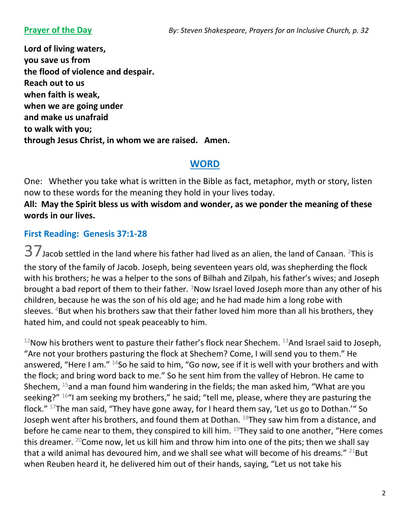**Lord of living waters, you save us from the flood of violence and despair. Reach out to us when faith is weak, when we are going under and make us unafraid to walk with you; through Jesus Christ, in whom we are raised. Amen.** 

### **WORD**

One: Whether you take what is written in the Bible as fact, metaphor, myth or story, listen now to these words for the meaning they hold in your lives today.

#### **All: May the Spirit bless us with wisdom and wonder, as we ponder the meaning of these words in our lives.**

#### **First Reading: Genesis 37:1-28**

 $37$  Jacob settled in the land where his father had lived as an alien, the land of Canaan. <sup>2</sup>This is the story of the family of Jacob. Joseph, being seventeen years old, was shepherding the flock with his brothers; he was a helper to the sons of Bilhah and Zilpah, his father's wives; and Joseph brought a bad report of them to their father.  $3$ Now Israel loved Joseph more than any other of his children, because he was the son of his old age; and he had made him a long robe with sleeves. <sup>4</sup>But when his brothers saw that their father loved him more than all his brothers, they hated him, and could not speak peaceably to him.

 $12$ Now his brothers went to pasture their father's flock near Shechem.  $13$ And Israel said to Joseph, "Are not your brothers pasturing the flock at Shechem? Come, I will send you to them." He answered, "Here I am." <sup>14</sup>So he said to him, "Go now, see if it is well with your brothers and with the flock; and bring word back to me." So he sent him from the valley of Hebron. He came to Shechem,  $^{15}$ and a man found him wandering in the fields; the man asked him, "What are you seeking?" <sup>16</sup>"I am seeking my brothers," he said; "tell me, please, where they are pasturing the flock." <sup>17</sup>The man said, "They have gone away, for I heard them say, 'Let us go to Dothan.'" So Joseph went after his brothers, and found them at Dothan.  $^{18}$ They saw him from a distance, and before he came near to them, they conspired to kill him.  $^{19}$ They said to one another, "Here comes this dreamer. <sup>20</sup>Come now, let us kill him and throw him into one of the pits; then we shall say that a wild animal has devoured him, and we shall see what will become of his dreams."  $^{21}$ But when Reuben heard it, he delivered him out of their hands, saying, "Let us not take his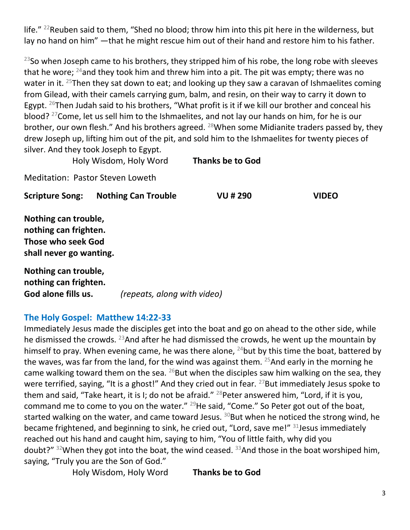life." <sup>22</sup>Reuben said to them, "Shed no blood; throw him into this pit here in the wilderness, but lay no hand on him" —that he might rescue him out of their hand and restore him to his father.

<sup>23</sup>So when Joseph came to his brothers, they stripped him of his robe, the long robe with sleeves that he wore;  $^{24}$  and they took him and threw him into a pit. The pit was empty; there was no water in it. <sup>25</sup>Then they sat down to eat; and looking up they saw a caravan of Ishmaelites coming from Gilead, with their camels carrying gum, balm, and resin, on their way to carry it down to Egypt.  $26$ Then Judah said to his brothers, "What profit is it if we kill our brother and conceal his blood? <sup>27</sup> Come, let us sell him to the Ishmaelites, and not lay our hands on him, for he is our brother, our own flesh." And his brothers agreed. <sup>28</sup>When some Midianite traders passed by, they drew Joseph up, lifting him out of the pit, and sold him to the Ishmaelites for twenty pieces of silver. And they took Joseph to Egypt.

Holy Wisdom, Holy Word **Thanks be to God** 

Meditation: Pastor Steven Loweth

**Scripture Song: Nothing Can Trouble VU # 290 VIDEO**

**Nothing can trouble, nothing can frighten. Those who seek God shall never go wanting.** 

**Nothing can trouble, nothing can frighten. God alone fills us.** *(repeats, along with video)* 

#### **The Holy Gospel: Matthew 14:22-33**

Immediately Jesus made the disciples get into the boat and go on ahead to the other side, while he dismissed the crowds.  $^{23}$ And after he had dismissed the crowds, he went up the mountain by himself to pray. When evening came, he was there alone,  $^{24}$ but by this time the boat, battered by the waves, was far from the land, for the wind was against them.  $25$  And early in the morning he came walking toward them on the sea.  $^{26}$ But when the disciples saw him walking on the sea, they were terrified, saying, "It is a ghost!" And they cried out in fear. <sup>27</sup>But immediately Jesus spoke to them and said, "Take heart, it is I; do not be afraid." <sup>28</sup>Peter answered him, "Lord, if it is you, command me to come to you on the water."  $^{29}$ He said, "Come." So Peter got out of the boat, started walking on the water, and came toward Jesus.  $30$ But when he noticed the strong wind, he became frightened, and beginning to sink, he cried out, "Lord, save me!" 31 Jesus immediately reached out his hand and caught him, saying to him, "You of little faith, why did you doubt?"  $32$ When they got into the boat, the wind ceased.  $33$ And those in the boat worshiped him, saying, "Truly you are the Son of God."

Holy Wisdom, Holy Word **Thanks be to God**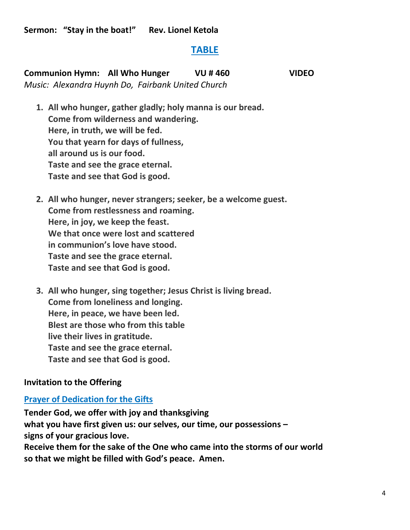**Sermon: "Stay in the boat!" Rev. Lionel Ketola** 

#### **TABLE**

**Communion Hymn: All Who Hunger VU # 460 VIDEO**  *Music: Alexandra Huynh Do, Fairbank United Church* 

- **1. All who hunger, gather gladly; holy manna is our bread. Come from wilderness and wandering. Here, in truth, we will be fed. You that yearn for days of fullness, all around us is our food. Taste and see the grace eternal. Taste and see that God is good.**
- **2. All who hunger, never strangers; seeker, be a welcome guest. Come from restlessness and roaming. Here, in joy, we keep the feast. We that once were lost and scattered in communion's love have stood. Taste and see the grace eternal. Taste and see that God is good.**
- **3. All who hunger, sing together; Jesus Christ is living bread. Come from loneliness and longing. Here, in peace, we have been led. Blest are those who from this table live their lives in gratitude. Taste and see the grace eternal. Taste and see that God is good.**

#### **Invitation to the Offering**

#### **Prayer of Dedication for the Gifts**

**Tender God, we offer with joy and thanksgiving what you have first given us: our selves, our time, our possessions – signs of your gracious love. Receive them for the sake of the One who came into the storms of our world so that we might be filled with God's peace. Amen.**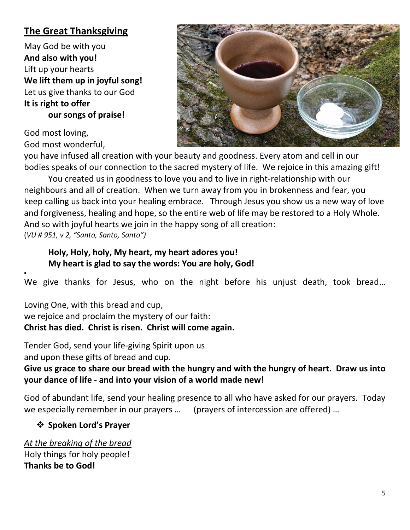## **The Great Thanksgiving**

May God be with you **And also with you!**  Lift up your hearts **We lift them up in joyful song!**  Let us give thanks to our God **It is right to offer our songs of praise!** 

God most loving, God most wonderful,

•



you have infused all creation with your beauty and goodness. Every atom and cell in our bodies speaks of our connection to the sacred mystery of life. We rejoice in this amazing gift!

You created us in goodness to love you and to live in right-relationship with our neighbours and all of creation. When we turn away from you in brokenness and fear, you keep calling us back into your healing embrace. Through Jesus you show us a new way of love and forgiveness, healing and hope, so the entire web of life may be restored to a Holy Whole. And so with joyful hearts we join in the happy song of all creation: (*VU # 951, v 2, "Santo, Santo, Santo")*

#### **Holy, Holy, holy, My heart, my heart adores you! My heart is glad to say the words: You are holy, God!**

We give thanks for Jesus, who on the night before his unjust death, took bread…

Loving One, with this bread and cup, we rejoice and proclaim the mystery of our faith: **Christ has died. Christ is risen. Christ will come again.**

Tender God, send your life-giving Spirit upon us and upon these gifts of bread and cup.

**Give us grace to share our bread with the hungry and with the hungry of heart. Draw us into your dance of life - and into your vision of a world made new!** 

God of abundant life, send your healing presence to all who have asked for our prayers. Today we especially remember in our prayers … (prayers of intercession are offered) …

#### ❖ **Spoken Lord's Prayer**

*At the breaking of the bread*  Holy things for holy people! **Thanks be to God!**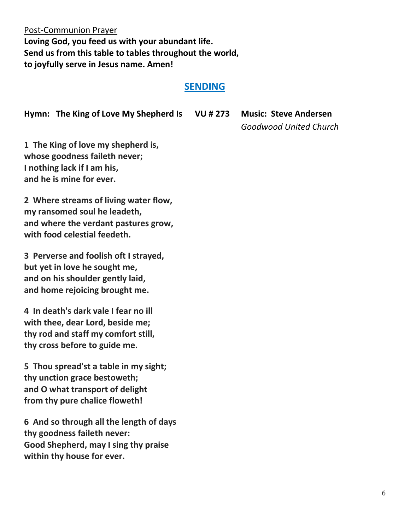Post-Communion Prayer **Loving God, you feed us with your abundant life. Send us from this table to tables throughout the world, to joyfully serve in Jesus name. Amen!** 

#### **SENDING**

**Hymn: The King of Love My Shepherd Is VU # 273 Music: Steve Andersen** 

*Goodwood United Church*

**1 The King of love my shepherd is, whose goodness faileth never; I nothing lack if I am his, and he is mine for ever.**

**2 Where streams of living water flow, my ransomed soul he leadeth, and where the verdant pastures grow, with food celestial feedeth.**

**3 Perverse and foolish oft I strayed, but yet in love he sought me, and on his shoulder gently laid, and home rejoicing brought me.**

**4 In death's dark vale I fear no ill with thee, dear Lord, beside me; thy rod and staff my comfort still, thy cross before to guide me.**

**5 Thou spread'st a table in my sight; thy unction grace bestoweth; and O what transport of delight from thy pure chalice floweth!**

**6 And so through all the length of days thy goodness faileth never: Good Shepherd, may I sing thy praise within thy house for ever.**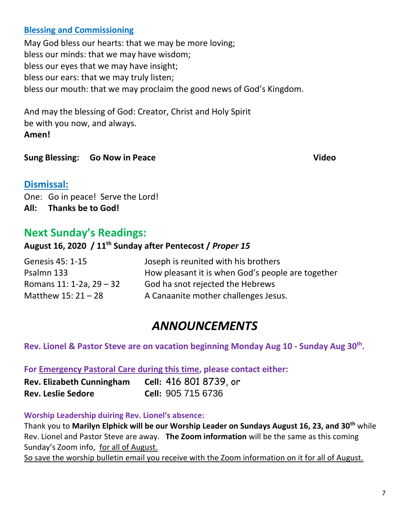#### **Blessing and Commissioning**

May God bless our hearts: that we may be more loving; bless our minds: that we may have wisdom; bless our eyes that we may have insight; bless our ears: that we may truly listen; bless our mouth: that we may proclaim the good news of God's Kingdom.

And may the blessing of God: Creator, Christ and Holy Spirit be with you now, and always. **Amen!** 

**Sung Blessing: Go Now in Peace Video** Video

#### **Dismissal:**

One: Go in peace! Serve the Lord! **All: Thanks be to God!** 

## **Next Sunday's Readings:**

#### **August 16, 2020 / 11th Sunday after Pentecost /** *Proper 15*

| Genesis 45: 1-15         | Joseph is reunited with his brothers              |
|--------------------------|---------------------------------------------------|
| Psalmn 133               | How pleasant it is when God's people are together |
| Romans 11: 1-2a, 29 – 32 | God ha snot rejected the Hebrews                  |
| Matthew $15:21 - 28$     | A Canaanite mother challenges Jesus.              |

# *ANNOUNCEMENTS*

**Rev. Lionel & Pastor Steve are on vacation beginning Monday Aug 10 - Sunday Aug 30th .** 

#### **For Emergency Pastoral Care during this time, please contact either:**

| <b>Rev. Elizabeth Cunningham</b> | Cell: 416 801 8739, or    |
|----------------------------------|---------------------------|
| <b>Rev. Leslie Sedore</b>        | <b>Cell: 905 715 6736</b> |

#### **Worship Leadership duiring Rev. Lionel's absence:**

Thank you to **Marilyn Elphick will be our Worship Leader on Sundays August 16, 23, and 30th** while Rev. Lionel and Pastor Steve are away. **The Zoom information** will be the same as this coming Sunday's Zoom info, for all of August.

So save the worship bulletin email you receive with the Zoom information on it for all of August.